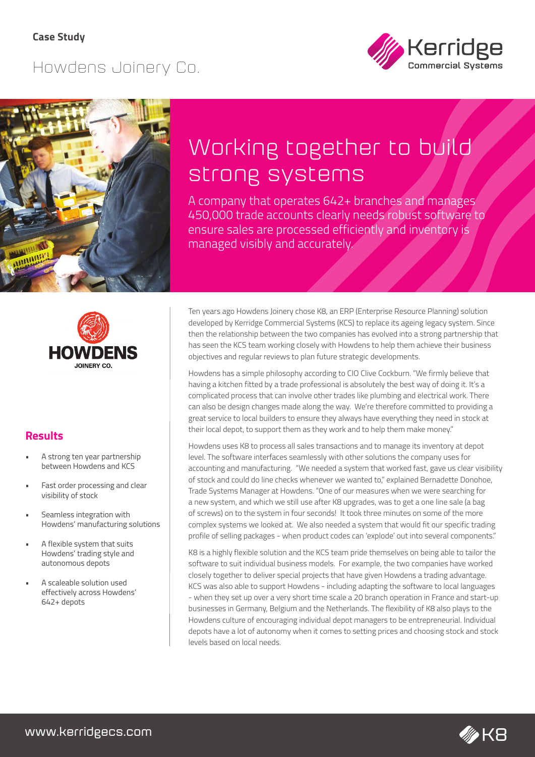## Howdens Joinery Co.





# Working together to build strong systems

A company that operates 642+ branches and manages 450,000 trade accounts clearly needs robust software to ensure sales are processed efficiently and inventory is managed visibly and accurately.



### **Results**

- A strong ten year partnership between Howdens and KCS
- Fast order processing and clear visibility of stock
- Seamless integration with Howdens' manufacturing solutions
- A flexible system that suits Howdens' trading style and autonomous depots
- A scaleable solution used effectively across Howdens' 642+ depots

Ten years ago Howdens Joinery chose K8, an ERP (Enterprise Resource Planning) solution developed by Kerridge Commercial Systems (KCS) to replace its ageing legacy system. Since then the relationship between the two companies has evolved into a strong partnership that has seen the KCS team working closely with Howdens to help them achieve their business objectives and regular reviews to plan future strategic developments.

Howdens has a simple philosophy according to CIO Clive Cockburn. "We firmly believe that having a kitchen fitted by a trade professional is absolutely the best way of doing it. It's a complicated process that can involve other trades like plumbing and electrical work. There can also be design changes made along the way. We're therefore committed to providing a great service to local builders to ensure they always have everything they need in stock at their local depot, to support them as they work and to help them make money."

Howdens uses K8 to process all sales transactions and to manage its inventory at depot level. The software interfaces seamlessly with other solutions the company uses for accounting and manufacturing. "We needed a system that worked fast, gave us clear visibility of stock and could do line checks whenever we wanted to," explained Bernadette Donohoe, Trade Systems Manager at Howdens. "One of our measures when we were searching for a new system, and which we still use after K8 upgrades, was to get a one line sale (a bag of screws) on to the system in four seconds! It took three minutes on some of the more complex systems we looked at. We also needed a system that would fit our specific trading profile of selling packages - when product codes can 'explode' out into several components."

K8 is a highly flexible solution and the KCS team pride themselves on being able to tailor the software to suit individual business models. For example, the two companies have worked closely together to deliver special projects that have given Howdens a trading advantage. KCS was also able to support Howdens - including adapting the software to local languages - when they set up over a very short time scale a 20 branch operation in France and start-up businesses in Germany, Belgium and the Netherlands. The flexibility of K8 also plays to the Howdens culture of encouraging individual depot managers to be entrepreneurial. Individual depots have a lot of autonomy when it comes to setting prices and choosing stock and stock levels based on local needs.